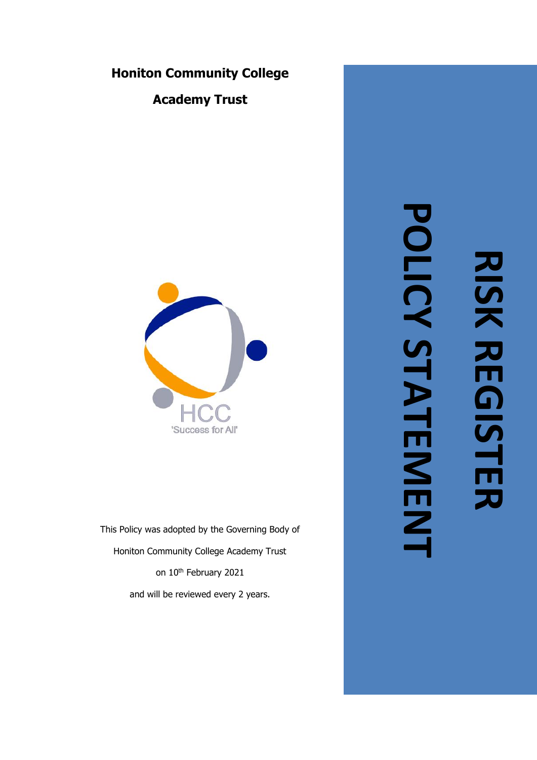# **Honiton Community College**

**Academy Trust**



This Policy was adopted by the Governing Body of Honiton Community College Academy Trust on 10<sup>th</sup> February 2021 and will be reviewed every 2 years.

# **POLICY STATEMENT**POLICY STATEMIENT **RISK REGISTER RISK REGISTER**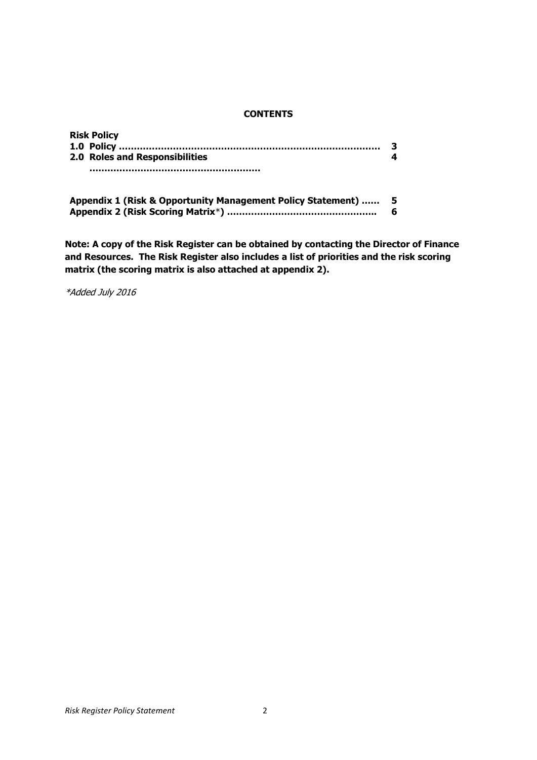#### **CONTENTS**

| <b>Risk Policy</b>             |  |
|--------------------------------|--|
|                                |  |
| 2.0 Roles and Responsibilities |  |
|                                |  |

| Appendix 1 (Risk & Opportunity Management Policy Statement) | -5 |
|-------------------------------------------------------------|----|
|                                                             |    |

**Note: A copy of the Risk Register can be obtained by contacting the Director of Finance and Resources. The Risk Register also includes a list of priorities and the risk scoring matrix (the scoring matrix is also attached at appendix 2).**

\*Added July 2016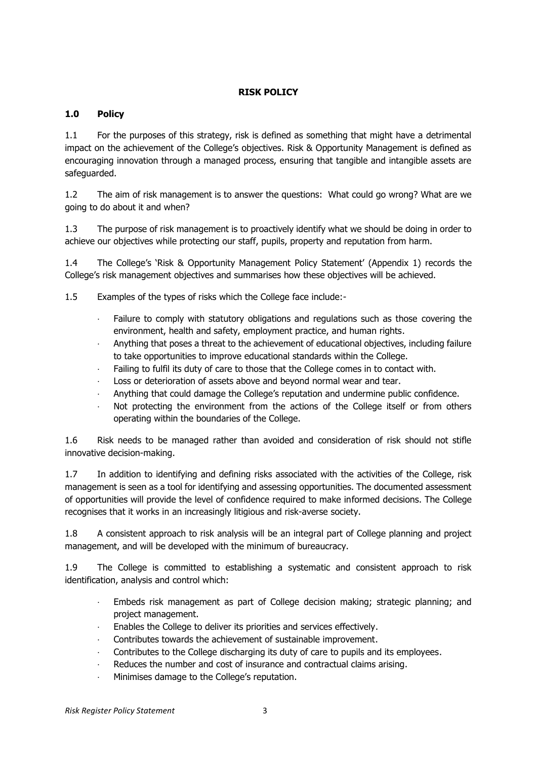# **RISK POLICY**

# **1.0 Policy**

1.1 For the purposes of this strategy, risk is defined as something that might have a detrimental impact on the achievement of the College's objectives. Risk & Opportunity Management is defined as encouraging innovation through a managed process, ensuring that tangible and intangible assets are safeguarded.

1.2 The aim of risk management is to answer the questions: What could go wrong? What are we going to do about it and when?

1.3 The purpose of risk management is to proactively identify what we should be doing in order to achieve our objectives while protecting our staff, pupils, property and reputation from harm.

1.4 The College's 'Risk & Opportunity Management Policy Statement' (Appendix 1) records the College's risk management objectives and summarises how these objectives will be achieved.

1.5 Examples of the types of risks which the College face include:-

- Failure to comply with statutory obligations and regulations such as those covering the environment, health and safety, employment practice, and human rights.
- · Anything that poses a threat to the achievement of educational objectives, including failure to take opportunities to improve educational standards within the College.
- Failing to fulfil its duty of care to those that the College comes in to contact with.
- Loss or deterioration of assets above and beyond normal wear and tear.
- · Anything that could damage the College's reputation and undermine public confidence.
- Not protecting the environment from the actions of the College itself or from others operating within the boundaries of the College.

1.6 Risk needs to be managed rather than avoided and consideration of risk should not stifle innovative decision-making.

1.7 In addition to identifying and defining risks associated with the activities of the College, risk management is seen as a tool for identifying and assessing opportunities. The documented assessment of opportunities will provide the level of confidence required to make informed decisions. The College recognises that it works in an increasingly litigious and risk-averse society.

1.8 A consistent approach to risk analysis will be an integral part of College planning and project management, and will be developed with the minimum of bureaucracy.

1.9 The College is committed to establishing a systematic and consistent approach to risk identification, analysis and control which:

- · Embeds risk management as part of College decision making; strategic planning; and project management.
- Enables the College to deliver its priorities and services effectively.
- Contributes towards the achievement of sustainable improvement.
- Contributes to the College discharging its duty of care to pupils and its employees.
- Reduces the number and cost of insurance and contractual claims arising.
- · Minimises damage to the College's reputation.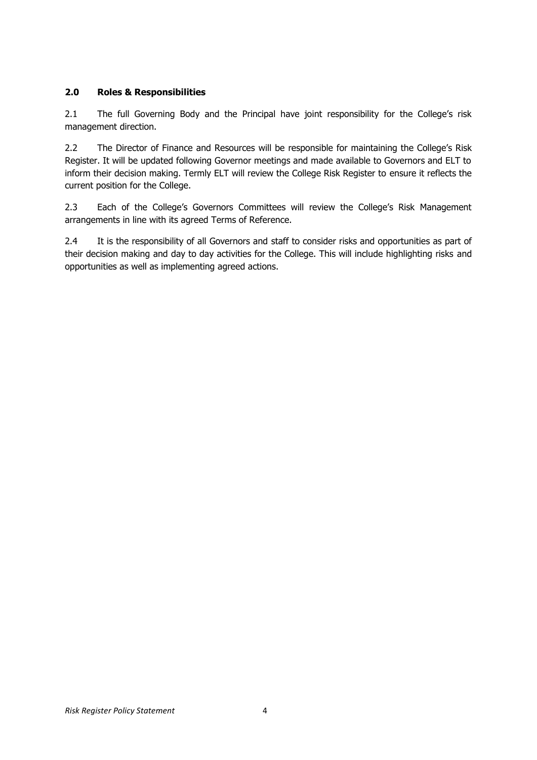# **2.0 Roles & Responsibilities**

2.1 The full Governing Body and the Principal have joint responsibility for the College's risk management direction.

2.2 The Director of Finance and Resources will be responsible for maintaining the College's Risk Register. It will be updated following Governor meetings and made available to Governors and ELT to inform their decision making. Termly ELT will review the College Risk Register to ensure it reflects the current position for the College.

2.3 Each of the College's Governors Committees will review the College's Risk Management arrangements in line with its agreed Terms of Reference.

2.4 It is the responsibility of all Governors and staff to consider risks and opportunities as part of their decision making and day to day activities for the College. This will include highlighting risks and opportunities as well as implementing agreed actions.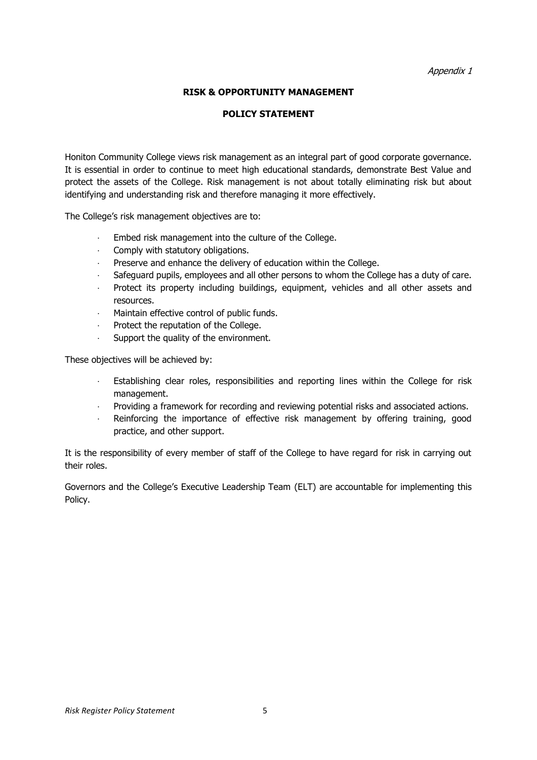#### **RISK & OPPORTUNITY MANAGEMENT**

#### **POLICY STATEMENT**

Honiton Community College views risk management as an integral part of good corporate governance. It is essential in order to continue to meet high educational standards, demonstrate Best Value and protect the assets of the College. Risk management is not about totally eliminating risk but about identifying and understanding risk and therefore managing it more effectively.

The College's risk management objectives are to:

- Embed risk management into the culture of the College.
- · Comply with statutory obligations.
- Preserve and enhance the delivery of education within the College.
- · Safeguard pupils, employees and all other persons to whom the College has a duty of care.
- Protect its property including buildings, equipment, vehicles and all other assets and resources.
- · Maintain effective control of public funds.
- Protect the reputation of the College.
- Support the quality of the environment.

These objectives will be achieved by:

- Establishing clear roles, responsibilities and reporting lines within the College for risk management.
- · Providing a framework for recording and reviewing potential risks and associated actions.
- Reinforcing the importance of effective risk management by offering training, good practice, and other support.

It is the responsibility of every member of staff of the College to have regard for risk in carrying out their roles.

Governors and the College's Executive Leadership Team (ELT) are accountable for implementing this Policy.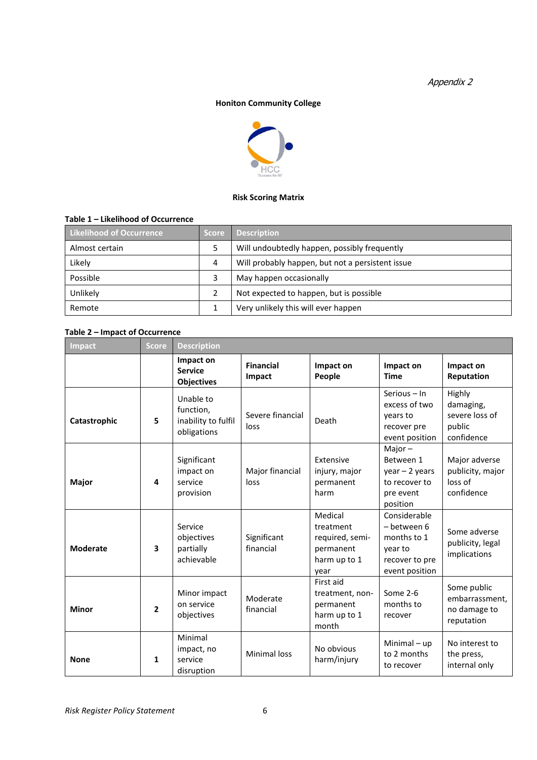#### **Honiton Community College**



#### **Risk Scoring Matrix**

### **Table 1 – Likelihood of Occurrence**

| Likelihood of Occurrence | <b>Score</b> | <b>Description</b>                               |  |
|--------------------------|--------------|--------------------------------------------------|--|
| Almost certain           |              | Will undoubtedly happen, possibly frequently     |  |
| Likely                   | 4            | Will probably happen, but not a persistent issue |  |
| Possible                 |              | May happen occasionally                          |  |
| Unlikely                 |              | Not expected to happen, but is possible          |  |
| Remote                   |              | Very unlikely this will ever happen              |  |

#### **Table 2 – Impact of Occurrence**

| <b>Impact</b>   | <b>Score</b>            | <b>Description</b>                                           |                            |                                                                              |                                                                                           |                                                               |
|-----------------|-------------------------|--------------------------------------------------------------|----------------------------|------------------------------------------------------------------------------|-------------------------------------------------------------------------------------------|---------------------------------------------------------------|
|                 |                         | Impact on<br><b>Service</b><br><b>Objectives</b>             | <b>Financial</b><br>Impact | Impact on<br>People                                                          | Impact on<br><b>Time</b>                                                                  | Impact on<br>Reputation                                       |
| Catastrophic    | 5                       | Unable to<br>function,<br>inability to fulfil<br>obligations | Severe financial<br>loss   | Death                                                                        | Serious - In<br>excess of two<br>vears to<br>recover pre<br>event position                | Highly<br>damaging,<br>severe loss of<br>public<br>confidence |
| Major           | 4                       | Significant<br>impact on<br>service<br>provision             | Major financial<br>loss    | Extensive<br>injury, major<br>permanent<br>harm                              | Major $-$<br>Between 1<br>$year - 2 years$<br>to recover to<br>pre event<br>position      | Major adverse<br>publicity, major<br>loss of<br>confidence    |
| <b>Moderate</b> | $\overline{\mathbf{3}}$ | Service<br>objectives<br>partially<br>achievable             | Significant<br>financial   | Medical<br>treatment<br>required, semi-<br>permanent<br>harm up to 1<br>year | Considerable<br>- between 6<br>months to 1<br>year to<br>recover to pre<br>event position | Some adverse<br>publicity, legal<br>implications              |
| <b>Minor</b>    | $\overline{2}$          | Minor impact<br>on service<br>objectives                     | Moderate<br>financial      | First aid<br>treatment, non-<br>permanent<br>harm up to 1<br>month           | Some 2-6<br>months to<br>recover                                                          | Some public<br>embarrassment,<br>no damage to<br>reputation   |
| <b>None</b>     | 1                       | Minimal<br>impact, no<br>service<br>disruption               | Minimal loss               | No obvious<br>harm/injury                                                    | Minimal $-$ up<br>to 2 months<br>to recover                                               | No interest to<br>the press,<br>internal only                 |